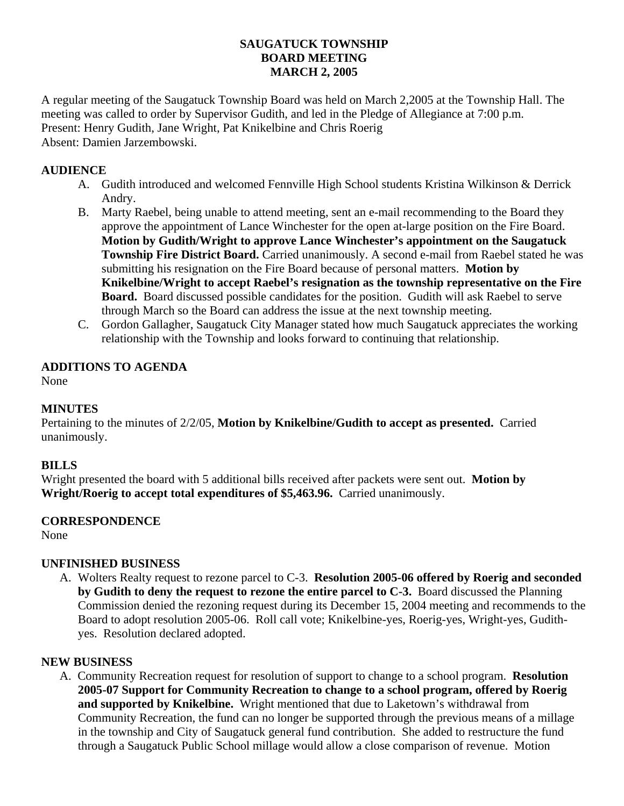# **SAUGATUCK TOWNSHIP BOARD MEETING MARCH 2, 2005**

A regular meeting of the Saugatuck Township Board was held on March 2,2005 at the Township Hall. The meeting was called to order by Supervisor Gudith, and led in the Pledge of Allegiance at 7:00 p.m. Present: Henry Gudith, Jane Wright, Pat Knikelbine and Chris Roerig Absent: Damien Jarzembowski.

### **AUDIENCE**

- A. Gudith introduced and welcomed Fennville High School students Kristina Wilkinson & Derrick Andry.
- B. Marty Raebel, being unable to attend meeting, sent an e-mail recommending to the Board they approve the appointment of Lance Winchester for the open at-large position on the Fire Board. **Motion by Gudith/Wright to approve Lance Winchester's appointment on the Saugatuck Township Fire District Board.** Carried unanimously. A second e-mail from Raebel stated he was submitting his resignation on the Fire Board because of personal matters. **Motion by Knikelbine/Wright to accept Raebel's resignation as the township representative on the Fire Board.** Board discussed possible candidates for the position. Gudith will ask Raebel to serve through March so the Board can address the issue at the next township meeting.
- C. Gordon Gallagher, Saugatuck City Manager stated how much Saugatuck appreciates the working relationship with the Township and looks forward to continuing that relationship.

# **ADDITIONS TO AGENDA**

None

# **MINUTES**

Pertaining to the minutes of 2/2/05, **Motion by Knikelbine/Gudith to accept as presented.** Carried unanimously.

### **BILLS**

Wright presented the board with 5 additional bills received after packets were sent out. **Motion by Wright/Roerig to accept total expenditures of \$5,463.96.** Carried unanimously.

### **CORRESPONDENCE**

None

### **UNFINISHED BUSINESS**

A. Wolters Realty request to rezone parcel to C-3. **Resolution 2005-06 offered by Roerig and seconded by Gudith to deny the request to rezone the entire parcel to C-3.** Board discussed the Planning Commission denied the rezoning request during its December 15, 2004 meeting and recommends to the Board to adopt resolution 2005-06. Roll call vote; Knikelbine-yes, Roerig-yes, Wright-yes, Gudithyes. Resolution declared adopted.

### **NEW BUSINESS**

A. Community Recreation request for resolution of support to change to a school program. **Resolution 2005-07 Support for Community Recreation to change to a school program, offered by Roerig and supported by Knikelbine.** Wright mentioned that due to Laketown's withdrawal from Community Recreation, the fund can no longer be supported through the previous means of a millage in the township and City of Saugatuck general fund contribution. She added to restructure the fund through a Saugatuck Public School millage would allow a close comparison of revenue. Motion